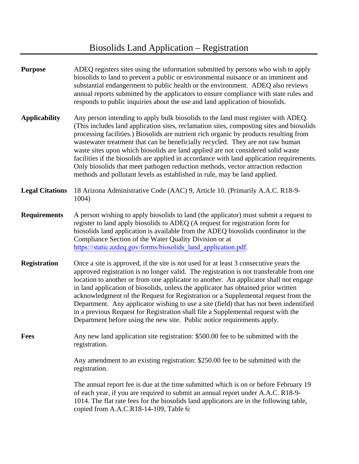## Biosolids Land Application – Registration

| <b>Purpose</b>         | ADEQ registers sites using the information submitted by persons who wish to apply<br>biosolids to land to prevent a public or environmental nuisance or an imminent and<br>substantial endangerment to public health or the environment. ADEQ also reviews<br>annual reports submitted by the applicators to ensure compliance with state rules and<br>responds to public inquiries about the use and land application of biosolids.                                                                                                                                                                                                                                                                           |
|------------------------|----------------------------------------------------------------------------------------------------------------------------------------------------------------------------------------------------------------------------------------------------------------------------------------------------------------------------------------------------------------------------------------------------------------------------------------------------------------------------------------------------------------------------------------------------------------------------------------------------------------------------------------------------------------------------------------------------------------|
| <b>Applicability</b>   | Any person intending to apply bulk biosolids to the land must register with ADEQ.<br>(This includes land application sites, reclamation sites, composting sites and biosolids<br>processing facilities.) Biosolids are nutrient rich organic by products resulting from<br>wastewater treatment that can be beneficially recycled. They are not raw human<br>waste sites upon which biosolids are land applied are not considered solid waste<br>facilities if the biosolids are applied in accordance with land application requirements.<br>Only biosolids that meet pathogen reduction methods, vector attraction reduction<br>methods and pollutant levels as established in rule, may be land applied.    |
| <b>Legal Citations</b> | 18 Arizona Administrative Code (AAC) 9, Article 10. (Primarily A.A.C. R18-9-<br>1004)                                                                                                                                                                                                                                                                                                                                                                                                                                                                                                                                                                                                                          |
| <b>Requirements</b>    | A person wishing to apply biosolids to land (the applicator) must submit a request to<br>register to land apply biosolids to ADEQ (A request for registration form for<br>biosolids land application is available from the ADEQ biosolids coordinator in the<br>Compliance Section of the Water Quality Division or at<br>https://static.azdeq.gov/forms/biosolids land application.pdf.                                                                                                                                                                                                                                                                                                                       |
| <b>Registration</b>    | Once a site is approved, if the site is not used for at least 3 consecutive years the<br>approved registration is no longer valid. The registration is not transferable from one<br>location to another or from one applicator to another. An applicator shall not engage<br>in land application of biosolids, unless the applicator has obtained prior written<br>acknowledgment of the Request for Registration or a Supplemental request from the<br>Department. Any applicator wishing to use a site (field) that has not been indentified<br>in a previous Request for Registration shall file a Supplemental request with the<br>Department before using the new site. Public notice requirements apply. |
| <b>Fees</b>            | Any new land application site registration: \$500.00 fee to be submitted with the<br>registration.                                                                                                                                                                                                                                                                                                                                                                                                                                                                                                                                                                                                             |
|                        | Any amendment to an existing registration: \$250.00 fee to be submitted with the<br>registration.                                                                                                                                                                                                                                                                                                                                                                                                                                                                                                                                                                                                              |
|                        | The annual report fee is due at the time submitted which is on or before February 19<br>of each year, if you are required to submit an annual report under A.A.C. R18-9-<br>1014. The flat rate fees for the biosolids land applicators are in the following table,<br>copied from A.A.C.R18-14-109, Table 6:                                                                                                                                                                                                                                                                                                                                                                                                  |